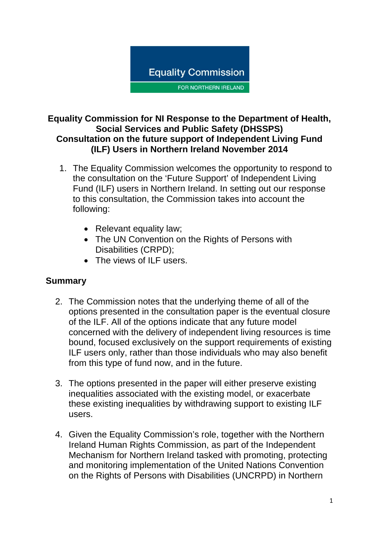

#### **Equality Commission for NI Response to the Department of Health, Social Services and Public Safety (DHSSPS) Consultation on the future support of Independent Living Fund (ILF) Users in Northern Ireland November 2014**

- 1. The Equality Commission welcomes the opportunity to respond to the consultation on the 'Future Support' of Independent Living Fund (ILF) users in Northern Ireland. In setting out our response to this consultation, the Commission takes into account the following:
	- Relevant equality law;
	- The UN Convention on the Rights of Persons with Disabilities (CRPD);
	- The views of ILF users.

## **Summary**

- 2. The Commission notes that the underlying theme of all of the options presented in the consultation paper is the eventual closure of the ILF. All of the options indicate that any future model concerned with the delivery of independent living resources is time bound, focused exclusively on the support requirements of existing ILF users only, rather than those individuals who may also benefit from this type of fund now, and in the future.
- 3. The options presented in the paper will either preserve existing inequalities associated with the existing model, or exacerbate these existing inequalities by withdrawing support to existing ILF users.
- 4. Given the Equality Commission's role, together with the Northern Ireland Human Rights Commission, as part of the Independent Mechanism for Northern Ireland tasked with promoting, protecting and monitoring implementation of the United Nations Convention on the Rights of Persons with Disabilities (UNCRPD) in Northern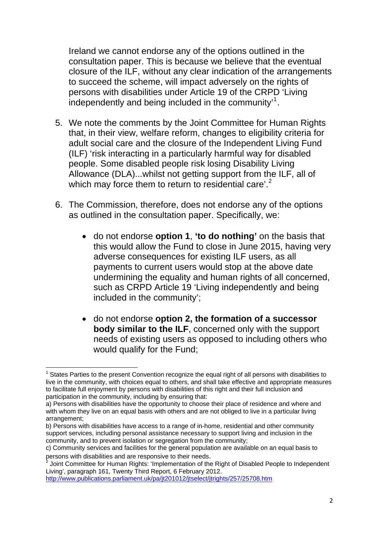Ireland we cannot endorse any of the options outlined in the consultation paper. This is because we believe that the eventual closure of the ILF, without any clear indication of the arrangements to succeed the scheme, will impact adversely on the rights of persons with disabilities under Article 19 of the CRPD 'Living independently and being included in the community'<sup>1</sup>.

- 5. We note the comments by the Joint Committee for Human Rights that, in their view, welfare reform, changes to eligibility criteria for adult social care and the closure of the Independent Living Fund (ILF) 'risk interacting in a particularly harmful way for disabled people. Some disabled people risk losing Disability Living Allowance (DLA)...whilst not getting support from th[e](#page-1-0) ILF, all of which may force them to return to residential care'.<sup>[2](#page-1-0)</sup>
- 6. The Commission, therefore, does not endorse any of the options as outlined in the consultation paper. Specifically, we:
	- do not endorse **option 1**, **'to do nothing'** on the basis that this would allow the Fund to close in June 2015, having very adverse consequences for existing ILF users, as all payments to current users would stop at the above date undermining the equality and human rights of all concerned, such as CRPD Article 19 'Living independently and being included in the community';
	- do not endorse **option 2, the formation of a successor body similar to the ILF**, concerned only with the support needs of existing users as opposed to including others who would qualify for the Fund;

<http://www.publications.parliament.uk/pa/jt201012/jtselect/jtrights/257/25708.htm>

<sup>&</sup>lt;u> Andrew Maria (1989)</u><br>1900 - Carl Maria (1989), polític a filosofon (1980)<br>1900 - Carl Maria (1980), polític a filosofon (1980)  $1$  States Parties to the present Convention recognize the equal right of all persons with disabilities to live in the community, with choices equal to others, and shall take effective and appropriate measures to facilitate full enjoyment by persons with disabilities of this right and their full inclusion and participation in the community, including by ensuring that:

a) Persons with disabilities have the opportunity to choose their place of residence and where and with whom they live on an equal basis with others and are not obliged to live in a particular living arrangement;

b) Persons with disabilities have access to a range of in-home, residential and other community support services, including personal assistance necessary to support living and inclusion in the community, and to prevent isolation or segregation from the community;

c) Community services and facilities for the general population are available on an equal basis to persons with disabilities and are responsive to their needs. 2

<span id="page-1-0"></span>Joint Committee for Human Rights: 'Implementation of the Right of Disabled People to Independent Living', paragraph 161, Twenty Third Report, 6 February 2012.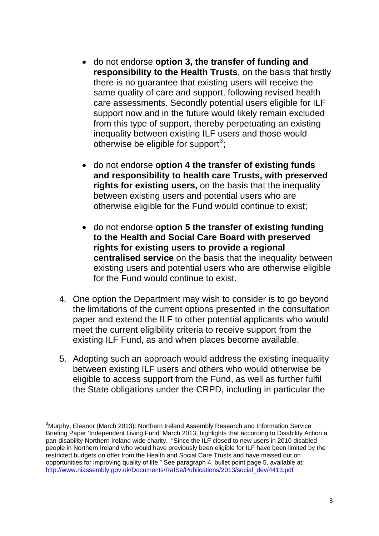- do not endorse **option 3, the transfer of funding and responsibility to the Health Trusts**, on the basis that firstly there is no guarantee that existing users will receive the same quality of care and support, following revised health care assessments. Secondly potential users eligible for ILF support now and in the future would likely remain excluded from this type of support, thereby perpetuating an existing inequality between existing ILF users and those would otherwise be eligible for support $3$ ;
- do not endorse **option 4 the transfer of existing funds**  and responsibility to health care Trusts, with preserved **rights for existing users,** on the basis that the inequality between existing users and potential users who are otherwise eligible for the Fund would continue to exist;
- **centralised service** on the basis that the inequality between for the Fund would continue to exist. • do not endorse **option 5 the transfer of existing funding to the Health and Social Care Board with preserved rights for existing users to provide a regional**  existing users and potential users who are otherwise eligible
- 4. One option the Department may wish to consider is to go beyond the limitations of the current options presented in the consultation paper and extend the ILF to other potential applicants who would meet the current eligibility criteria to receive support from the existing ILF Fund, as and when places become available.
- 5. Adopting such an approach would address the existing inequality between existing ILF users and others who would otherwise be eligible to access support from the Fund, as well as further fulfil the State obligations under the CRPD, including in particular the

<span id="page-2-0"></span> <sup>3</sup>Murphy, Eleanor (March 2013): Northern Ireland Assembly Research and Information Service Briefing Paper 'Independent Living Fund' March 2013, highlights that according to Disability Action a pan-disability Northern Ireland wide charity, "Since the ILF closed to new users in 2010 disabled people in Northern Ireland who would have previously been eligible for ILF have been limited by the restricted budgets on offer from the Health and Social Care Trusts and have missed out on opportunities for improving quality of life." See paragraph 4, bullet point page 5, available at: [http://www.niassembly.gov.uk/Documents/RaISe/Publications/2013/social\\_dev/4413.pdf](http://www.niassembly.gov.uk/Documents/RaISe/Publications/2013/social_dev/4413.pdf)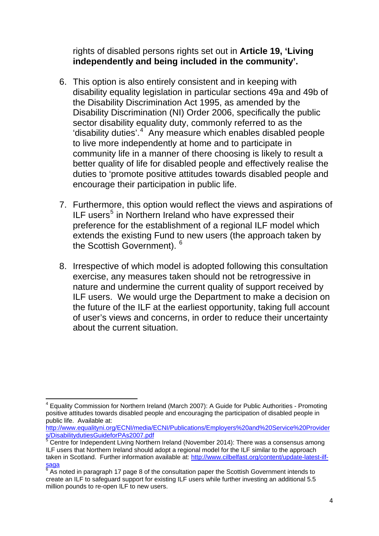rights of disabled persons rights set out in **Article 19, 'Living independently and being included in the community'.**

- 6. This option is also entirely consistent and in keeping with disability equality legislation in particular sections 49a and 49 b of the Disability Discrimination Act 1995, as amended by the Disability Discrimination (NI) Order 2006, specifically the publ ic sector disability equality duty, commonly referred to as the 'disability duties'.<sup>[4](#page-3-0)</sup> Any measure which enables disabled people better quality of life for disabled people and effectively realise the duties to 'promote positive attitudes towards disabled people and to live more independently at home and to participate in community life in a manner of there choosing is likely to result a encourage their participation in public life.
- 7. Furthermore, this option would reflect the views and aspirations of ILF users<sup>[5](#page-3-1)</sup> in Northern Ireland who have expressed their preference for the establishment of a regional ILF model which extends the existing Fund to new users (the approach taken by the Scottish Government). <sup>[6](#page-3-2)</sup>
- 8. Irrespective of which model is adopted following this consultation exercise, any measures taken should not be retrogressive in nature and undermine the current quality of support received by ILF users. We would urge the Department to make a decision on the future of the ILF at the earliest opportunity, taking full account of user's views and concerns, in order to reduce their uncertainty about the current situation.

<span id="page-3-0"></span> 4 Equality Commission for Northern Ireland (March 2007): A Guide for Public Authorities - Promoting positive attitudes towards disabled people and encouraging the participation of disabled people in public life. Available at:

[http://www.equalityni.org/ECNI/media/ECNI/Publications/Employers%20and%20Service%20Provider](http://www.equalityni.org/ECNI/media/ECNI/Publications/Employers%20and%20Service%20Providers/DisabilitydutiesGuideforPAs2007.pdf) [s/DisabilitydutiesGuideforPAs2007.pdf](http://www.equalityni.org/ECNI/media/ECNI/Publications/Employers%20and%20Service%20Providers/DisabilitydutiesGuideforPAs2007.pdf)

<span id="page-3-1"></span> $5$  Centre for Independent Living Northern Ireland (November 2014): There was a consensus among ILF users that Northern Ireland should adopt a regional model for the ILF similar to the approach taken in Scotland. Further information available at: [http://www.cilbelfast.org/content/update-latest-ilf](http://www.cilbelfast.org/content/update-latest-ilf-saga)[saga](http://www.cilbelfast.org/content/update-latest-ilf-saga)

<span id="page-3-2"></span> $6$  As noted in paragraph 17 page 8 of the consultation paper the Scottish Government intends to create an ILF to safeguard support for existing ILF users while further investing an additional 5.5 million pounds to re-open ILF to new users.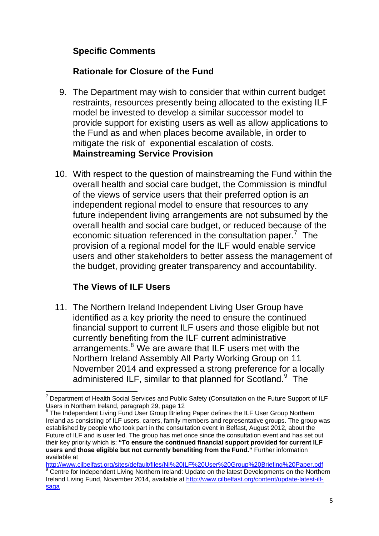## **Specific Comments**

## **Rationale for Closure of the Fund**

- 9. The Department may wish to consider that within current budget restraints, resources presently being allocated to the existing ILF model be invested to develop a similar successor model to provide support for existing users as well as allow applications to the Fund as and when places become available, in order to mitigate the risk of exponential escalation of costs. **Mainstreaming Service Provision**
- 10. With respect to the question of mainstreaming the Fund within the overall health and social care budget, the Commission is mindful of the views of service users that their preferred option is an independent regional model to ensure that resources to any future independent living arrangements are not subsumed by the overall health and social care budget, or reduced because of the economic situation referenced in the consultation paper.<sup>[7](#page-4-0)</sup> The provision of a regional model for the ILF would enable service users and other stakeholders to better assess the management of the budget, providing greater transparency and accountability.

## **The Views of ILF Users**

11. The Northern Ireland Independent Living User Group have identified as a key priority the need to ensure the continued financial support to current ILF users and those eligible but not currently benefiting from the ILF current administrative arrangements.<sup>[8](#page-4-1)</sup> We are aware that ILF users met with the Northern Ireland Assembly All Party Working Group on 11 November 2014 and expressed a strong preference for a locally administered ILF, similar to that planned for Scotland.<sup>[9](#page-4-2)</sup> The

<span id="page-4-0"></span>  $<sup>7</sup>$  Department of Health Social Services and Public Safety (Consultation on the Future Support of ILF</sup> Users in Northern Ireland, paragraph 29, page 12

<span id="page-4-1"></span><sup>&</sup>lt;sup>8</sup> The Independent Living Fund User Group Briefing Paper defines the ILF User Group Northern Ireland as consisting of ILF users, carers, family members and representative groups. The group was established by people who took part in the consultation event in Belfast, August 2012, about the Future of ILF and is user led. The group has met once since the consultation event and has set out their key priority which is: **"To ensure the continued financial support provided for current ILF users and those eligible but not currently benefiting from the Fund."** Further information available at

<span id="page-4-2"></span><sup>&</sup>lt;u>http://www.cilbelfast.org/sites/default/files/NI%20ILF%20User%20Group%20Briefing%20Paper.pdf</u><br><sup>9</sup> Centre for Independent Living Northern Ireland: Update on the latest Developments on the Northern Ireland Living Fund, November 2014, available at [http://www.cilbelfast.org/content/update-latest-ilf](http://www.cilbelfast.org/content/update-latest-ilf-saga)[saga](http://www.cilbelfast.org/content/update-latest-ilf-saga)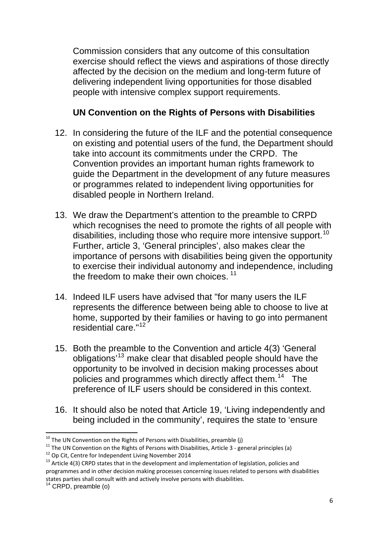Commission considers that any outcome of this consultation exercise should reflect the views and aspirations of those directly affected by the decision on the medium and long-term future of delivering independent living opportunities for those disabled people with intensive complex support requirements.

#### **UN Convention on the Rights of Persons with Disabilities**

- 12. In considering the future of the ILF and the potential consequence on existing and potential users of the fund, the Department should take into account its commitments under the CRPD. The Convention provides an important human rights framework to guide the Department in the development of any future measures or programmes related to independent living opportunities for disabled people in Northern Ireland.
- 13. We draw the Department's attention to the preamble to CRPD which recognises the need to promote the rights of all people with disabilities, including those who require more intensive support.<sup>[10](#page-5-0)</sup> Further, article 3, 'General principles', also makes clear the importance of persons with disabilities being given the opportunity to exercise their individual autonomy and [in](#page-5-1)dependence, including the freedom to make their own choices.  $11$
- 14. Indeed ILF users have advised that "for many users the ILF represents the difference between being able to choose to live at home, supported by their families or having to go into permanent residential care."[12](#page-5-2)
- 15. Both the preamble to the Convention and article 4(3) 'General obligations'[13](#page-5-3) make clear that disabled people should have the opportunity to be involved in decision making processes about policies and programmes which directly affect them.<sup>[14](#page-5-4)</sup> The preference of ILF users should be considered in this context.
- 16. It should also be noted that Article 19, 'Living independently and being included in the community', requires the state to 'ensure

<span id="page-5-0"></span> $10$  The UN Convention on the Rights of Persons with Disabilities, preamble (j)

<span id="page-5-1"></span><sup>&</sup>lt;sup>11</sup> The UN Convention on the Rights of Persons with Disabilities, Article 3 - general principles (a)<br><sup>12</sup> Op Cit, Centre for Independent Living November 2014<br><sup>13</sup> Article 4(3) CRPD states that in the development and impl

<span id="page-5-3"></span><span id="page-5-2"></span>programmes and in other decision making processes concerning issues related to persons with disabilities states parties shall consult with and actively involve persons with disabilities.<br><sup>14</sup> CRPD, preamble (o)

<span id="page-5-4"></span>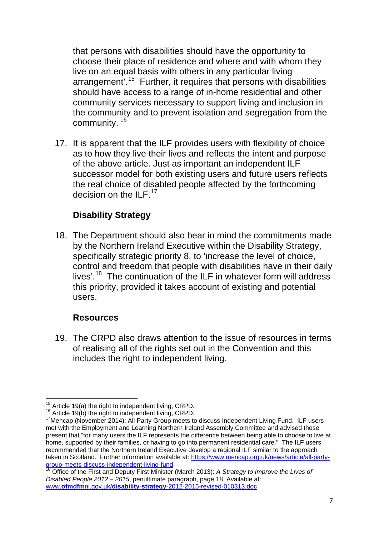that persons with disabilities should have the opportunity to choose their place of residence and where and with whom they live on an equal basis with others in any particular living arrangement'.15 Further, it requires that persons with disabilities should have access to a range of in-home residential and other community services necessary to support living and inclusion in the community and to prevent isolation and segregation from the community. <sup>16</sup>

17. It is apparent that the ILF provides users with flexibility of choice as to how they live their lives and reflects the intent and purpose of the above article. Just as important an independent ILF successor model for both existing users and future users reflect s the real choice of disabled people affected by the forthcoming decision on the ILF.<sup>17</sup>

## **Disability Strategy**

18. The Department should also bear in mind the commitments made by the Northern Ireland Executive within the Disability Strategy, specifically strategic priority 8, to 'increase the level of choice, control and freedom that people with disabilities have in their daily lives'.[18](#page-6-0) The continuation of the ILF in whatever form will address this priority, provided it takes account of existing and potential users.

#### **Resources**

19. The CRPD also draws attention to the issue of resources in terms of realising all of the rights set out in the Convention and this includes the right to independent living.

 $15$  Article 19(a) the right to independent living, CRPD.

<sup>&</sup>lt;sup>16</sup> Article 19(b) the right to independent living, CRPD.<br><sup>17</sup> Mencap (November 2014): All Party Group meets to discuss Independent Living Fund. ILF users met with the Employment and Learning Northern Ireland Assembly Committee and advised those present that "for many users the ILF represents the difference between being able to choose to live at home, supported by their families, or having to go into permanent residential care." The ILF users recommended that the Northern Ireland Executive develop a regional ILF similar to the approach taken in Scotland. Further information available at: [https://www.mencap.org.uk/news/article/all-party](https://www.mencap.org.uk/news/article/all-party-group-meets-discuss-independent-living-fund)[group-meets-discuss-independent-living-fund](https://www.mencap.org.uk/news/article/all-party-group-meets-discuss-independent-living-fund)<br><sup>18</sup> Office of the Fig. 1

<span id="page-6-0"></span><sup>18</sup> Office of the First and Deputy First Minister (March 2013): *A Strategy to Improve the Lives of Disabled People 2012 – 2015*, penultimate paragraph, page 18. Available at: www.**ofmdfm**ni.gov.uk/**disability**-**strategy**[-2012-2015-revised-010313.doc](http://www.ofmdfmni.gov.uk/disability-strategy-2012-2015-revised-010313.doc)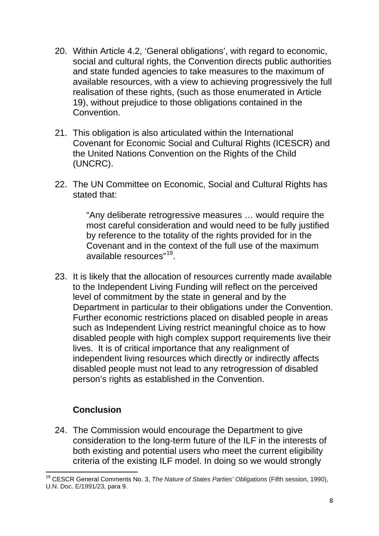- 20. Within Article 4.2, 'General obligations', with regard to economic, social and cultural rights, the Convention directs public authorities and state funded agencies to take measures to the maximum of available resources, with a view to achieving progressively the full realisation of these rights, (such as those enumerated in Article 19), without prejudice to those obligations contained in the **Convention**
- (UNCRC). 21. This obligation is also articulated within the International Covenant for Economic Social and Cultural Rights (ICESCR) and the United Nations Convention on the Rights of the Child
- 22. The UN Committee on Economic, Social and Cultural Rights has stated that:

most careful consideration and would need to be fully justified Covenant and in the context of the full use of the maximum available resources"19. "Any deliberate retrogressive measures … would require the by reference to the totality of the rights provided for in the

23. It is likely that the allocation of resources currently made available to the Independent Living Funding will reflect on the perceived Department in particular to their obligations under the Convention. disabled people with high complex support requirements live their disabled people must not lead to any retrogression of disabled person's rights as established in the Convention. level of commitment by the state in general and by the Further economic restrictions placed on disabled people in areas such as Independent Living restrict meaningful choice as to how lives. It is of critical importance that any realignment of independent living resources which directly or indirectly affects

## **Conclusion**

24. The Commission would encourage the Department to give consideration to the long-term future of the ILF in the interests of both existing and potential users who meet the current eligibility criteria of the existing ILF model. In doing so we would strongly

 19 CESCR General Comments No. 3, *The Nature of States Parties' Obligations* (Fifth session, 1990), U.N. Doc. E/1991/23, para 9.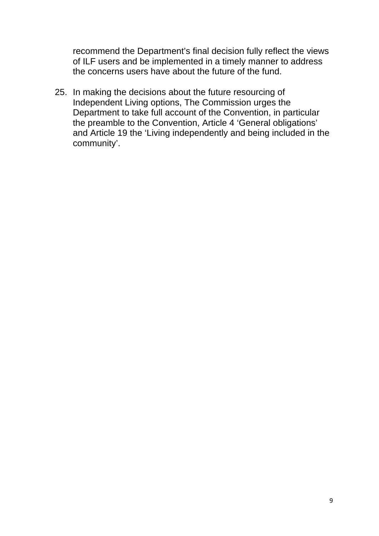of ILF users and be implemented in a timely manner to address the concerns users have about the future of the fund. recommend the Department's final decision fully reflect the views

Department to take full account of the Convention, in particular and Article 19 the 'Living independently and being included in the community'. 25. In making the decisions about the future resourcing of Independent Living options, The Commission urges the the preamble to the Convention, Article 4 'General obligations'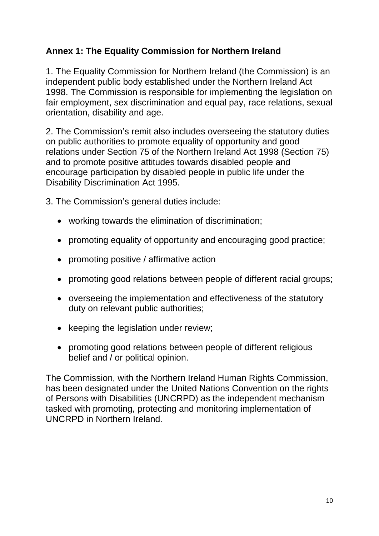## **Annex 1: The Equality Commission for Northern Ireland**

1998. The Commission is responsible for implementing the legislation on fair employment, sex discrimination and equal pay, race relations, sexual 1. The Equality Commission for Northern Ireland (the Commission) is an independent public body established under the Northern Ireland Act orientation, disability and age.

on public authorities to promote equality of opportunity and good relations under Section 75 of the Northern Ireland Act 1998 (Section 75) and to promote positive attitudes towards disabled people and encourage participation by disabled people in public life under the 2. The Commission's remit also includes overseeing the statutory duties Disability Discrimination Act 1995.

- 3. The Commission's general duties include:
	- working towards the elimination of discrimination;
	- promoting equality of opportunity and encouraging good practice;
	- promoting positive / affirmative action
	- promoting good relations between people of different racial groups;
	- overseeing the implementation and effectiveness of the statutory duty on relevant public authorities;
	- keeping the legislation under review;
	- promoting good relations between people of different religious belief and / or political opinion.

has been designated under the United Nations Convention on the rights of Persons with Disabilities (UNCRPD) as the independent mechanism tasked with promoting, protecting and monitoring implementation of UNCRPD in Northern Ireland. The Commission, with the Northern Ireland Human Rights Commission,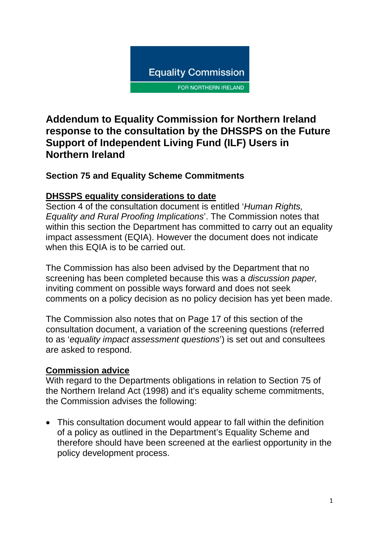

# **Addendum to Equality Commission for Northern Ireland response to the consultation by the DHSSPS on the Future Support of Independent Living Fund (ILF) Users in Northern Ireland**

# **Section 75 and Equality Scheme Commitments**

### **DHSSPS equality considerations to date**

Section 4 of the consultation document is entitled '*Human Rights, Equality and Rural Proofing Implications*'. The Commission notes that within this section the Department has committed to carry out an equality impact assessment (EQIA). However the document does not indicate when this EQIA is to be carried out.

The Commission has also been advised by the Department that no screening has been completed because this was a *discussion paper,* inviting comment on possible ways forward and does not seek comments on a policy decision as no policy decision has yet been made.

The Commission also notes that on Page 17 of this section of the consultation document, a variation of the screening questions (referred to as '*equality impact assessment questions*') is set out and consultees are asked to respond.

## **Commission advice**

With regard to the Departments obligations in relation to Section 75 of the Northern Ireland Act (1998) and it's equality scheme commitments, the Commission advises the following:

• This consultation document would appear to fall within the definition of a policy as outlined in the Department's Equality Scheme and therefore should have been screened at the earliest opportunity in the policy development process.